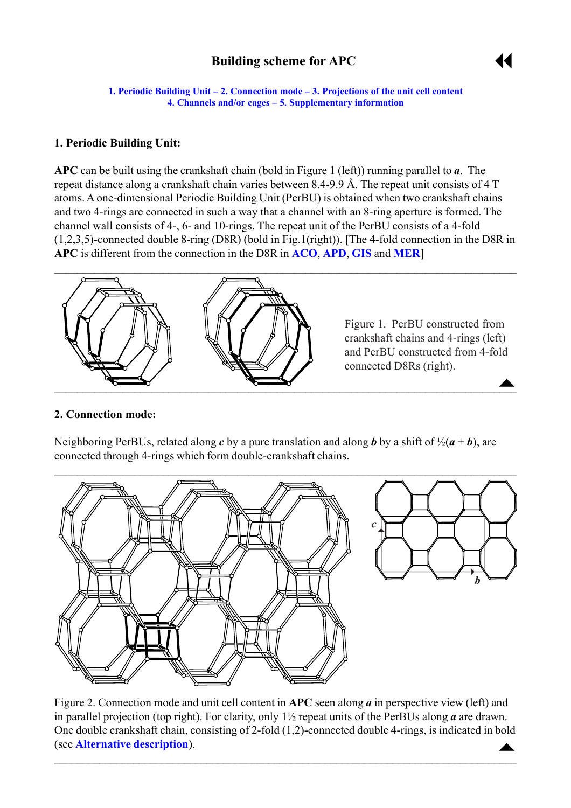# **Building scheme for APC**



<span id="page-0-0"></span>**1. Periodic Building Unit – 2. Connection mode – [3. Projections of the unit cell](#page-1-0) content [4. Channels and/or cages](#page-1-0) ñ [5. Supplementary information](#page-2-0)**

#### **1. Periodic Building Unit:**

**APC** can be built using the crankshaft chain (bold in Figure 1 (left)) running parallel to *a*. The repeat distance along a crankshaft chain varies between 8.4-9.9 Å. The repeat unit consists of 4 T atoms. A one-dimensional Periodic Building Unit (PerBU) is obtained when two crankshaft chains and two 4-rings are connected in such a way that a channel with an 8-ring aperture is formed. The channel wall consists of 4-, 6- and 10-rings. The repeat unit of the PerBU consists of a 4-fold (1,2,3,5)-connected double 8-ring (D8R) (bold in Fig.1(right)). [The 4-fold connection in the D8R in **APC** is different from the connection in the D8R in **[ACO](http://www.iza-structure.org/databases/ModelBuilding/ACO.pdf)**, **[APD](http://www.iza-structure.org/databases/ModelBuilding/APD.pdf)**, **[GIS](http://www.iza-structure.org/databases/ModelBuilding/GIS.pdf)** and **[MER](http://www.iza-structure.org/databases/ModelBuilding/MER.pdf)**]



#### **2. Connection mode:**

Neighboring PerBUs, related along *c* by a pure translation and along *b* by a shift of  $\frac{1}{2}(a + b)$ , are connected through 4-rings which form double-crankshaft chains.



 $\blacktriangle$ Figure 2. Connection mode and unit cell content in **APC** seen along *a* in perspective view (left) and in parallel projection (top right). For clarity, only 1½ repeat units of the PerBUs along *a* are drawn. One double crankshaft chain, consisting of 2-fold (1,2)-connected double 4-rings, is indicated in bold (see **[Alternative description](#page-2-0)**).

 $\mathcal{L}_\mathcal{L} = \mathcal{L}_\mathcal{L} = \mathcal{L}_\mathcal{L} = \mathcal{L}_\mathcal{L} = \mathcal{L}_\mathcal{L} = \mathcal{L}_\mathcal{L} = \mathcal{L}_\mathcal{L} = \mathcal{L}_\mathcal{L} = \mathcal{L}_\mathcal{L} = \mathcal{L}_\mathcal{L} = \mathcal{L}_\mathcal{L} = \mathcal{L}_\mathcal{L} = \mathcal{L}_\mathcal{L} = \mathcal{L}_\mathcal{L} = \mathcal{L}_\mathcal{L} = \mathcal{L}_\mathcal{L} = \mathcal{L}_\mathcal{L}$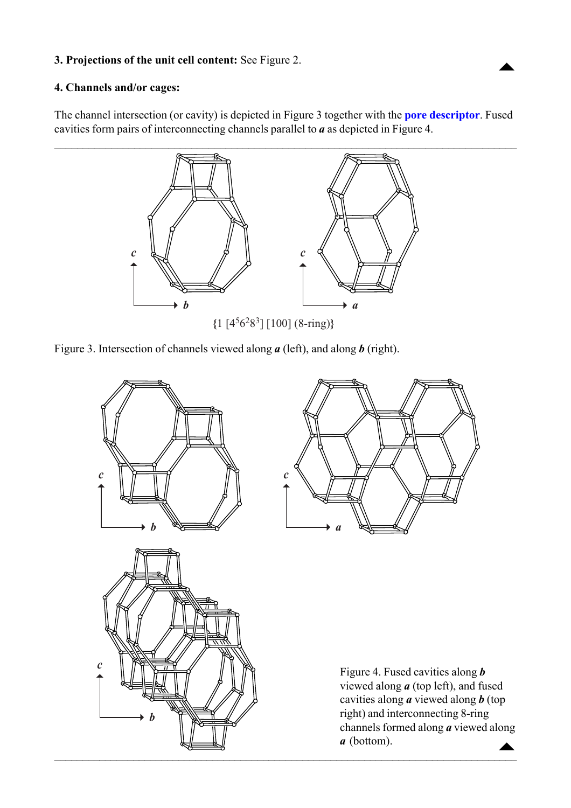## <span id="page-1-0"></span>**3. Projections of the unit cell content:** See Figure 2.

## **4. Channels and/or cages:**

The channel intersection (or cavity) is depicted in Figure 3 together with the **[pore descriptor](http://www.iza-structure.org/databases/ModelBuilding/Introduction.pdf)**. Fused cavities form pairs of interconnecting channels parallel to *a* as depicted in Figure 4.